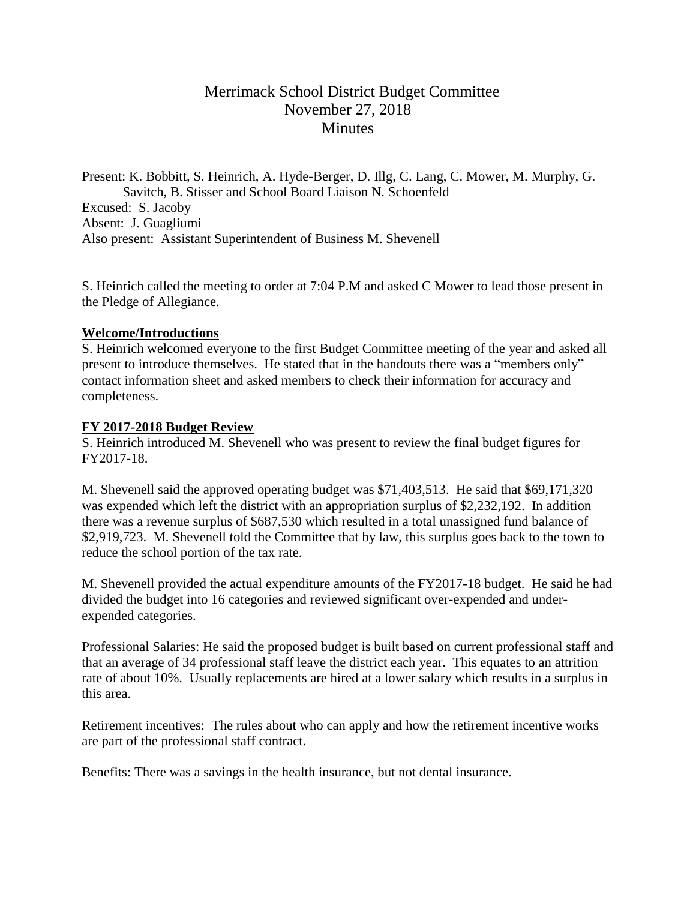# Merrimack School District Budget Committee November 27, 2018 **Minutes**

Present: K. Bobbitt, S. Heinrich, A. Hyde-Berger, D. Illg, C. Lang, C. Mower, M. Murphy, G. Savitch, B. Stisser and School Board Liaison N. Schoenfeld Excused: S. Jacoby Absent: J. Guagliumi Also present: Assistant Superintendent of Business M. Shevenell

S. Heinrich called the meeting to order at 7:04 P.M and asked C Mower to lead those present in the Pledge of Allegiance.

### **Welcome/Introductions**

S. Heinrich welcomed everyone to the first Budget Committee meeting of the year and asked all present to introduce themselves. He stated that in the handouts there was a "members only" contact information sheet and asked members to check their information for accuracy and completeness.

### **FY 2017-2018 Budget Review**

S. Heinrich introduced M. Shevenell who was present to review the final budget figures for FY2017-18.

M. Shevenell said the approved operating budget was \$71,403,513. He said that \$69,171,320 was expended which left the district with an appropriation surplus of \$2,232,192. In addition there was a revenue surplus of \$687,530 which resulted in a total unassigned fund balance of \$2,919,723. M. Shevenell told the Committee that by law, this surplus goes back to the town to reduce the school portion of the tax rate.

M. Shevenell provided the actual expenditure amounts of the FY2017-18 budget. He said he had divided the budget into 16 categories and reviewed significant over-expended and underexpended categories.

Professional Salaries: He said the proposed budget is built based on current professional staff and that an average of 34 professional staff leave the district each year. This equates to an attrition rate of about 10%. Usually replacements are hired at a lower salary which results in a surplus in this area.

Retirement incentives: The rules about who can apply and how the retirement incentive works are part of the professional staff contract.

Benefits: There was a savings in the health insurance, but not dental insurance.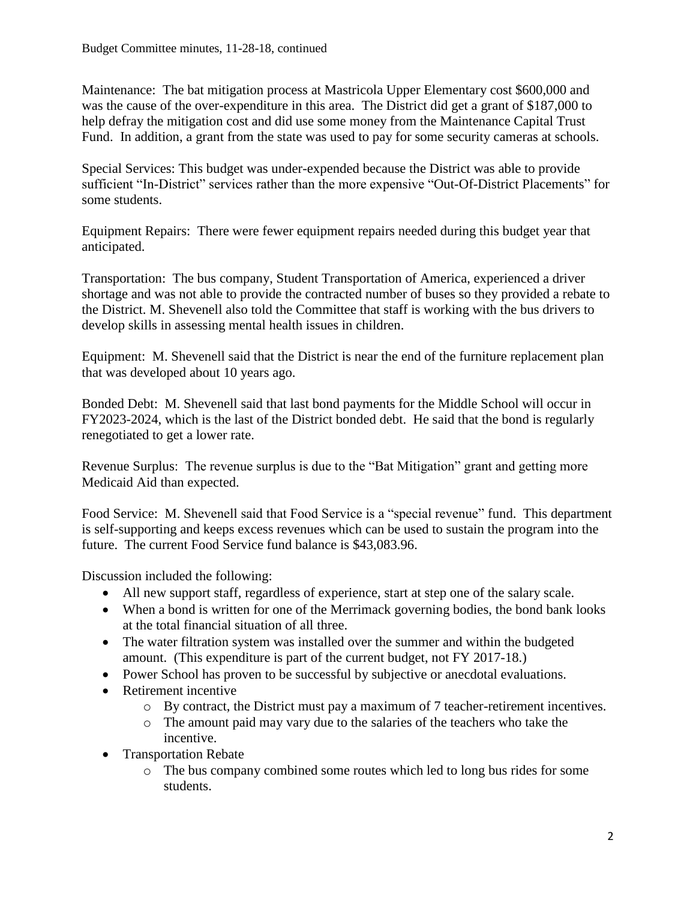Maintenance: The bat mitigation process at Mastricola Upper Elementary cost \$600,000 and was the cause of the over-expenditure in this area. The District did get a grant of \$187,000 to help defray the mitigation cost and did use some money from the Maintenance Capital Trust Fund. In addition, a grant from the state was used to pay for some security cameras at schools.

Special Services: This budget was under-expended because the District was able to provide sufficient "In-District" services rather than the more expensive "Out-Of-District Placements" for some students.

Equipment Repairs: There were fewer equipment repairs needed during this budget year that anticipated.

Transportation: The bus company, Student Transportation of America, experienced a driver shortage and was not able to provide the contracted number of buses so they provided a rebate to the District. M. Shevenell also told the Committee that staff is working with the bus drivers to develop skills in assessing mental health issues in children.

Equipment: M. Shevenell said that the District is near the end of the furniture replacement plan that was developed about 10 years ago.

Bonded Debt: M. Shevenell said that last bond payments for the Middle School will occur in FY2023-2024, which is the last of the District bonded debt. He said that the bond is regularly renegotiated to get a lower rate.

Revenue Surplus: The revenue surplus is due to the "Bat Mitigation" grant and getting more Medicaid Aid than expected.

Food Service: M. Shevenell said that Food Service is a "special revenue" fund. This department is self-supporting and keeps excess revenues which can be used to sustain the program into the future. The current Food Service fund balance is \$43,083.96.

Discussion included the following:

- All new support staff, regardless of experience, start at step one of the salary scale.
- When a bond is written for one of the Merrimack governing bodies, the bond bank looks at the total financial situation of all three.
- The water filtration system was installed over the summer and within the budgeted amount. (This expenditure is part of the current budget, not FY 2017-18.)
- Power School has proven to be successful by subjective or anecdotal evaluations.
- Retirement incentive
	- o By contract, the District must pay a maximum of 7 teacher-retirement incentives.
	- o The amount paid may vary due to the salaries of the teachers who take the incentive.
- Transportation Rebate
	- o The bus company combined some routes which led to long bus rides for some students.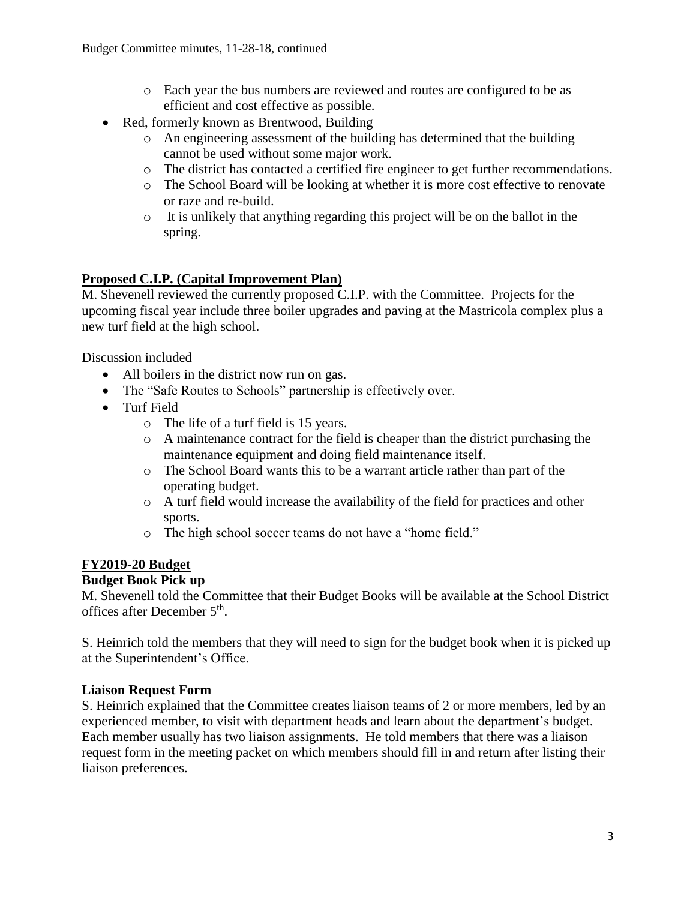- o Each year the bus numbers are reviewed and routes are configured to be as efficient and cost effective as possible.
- Red, formerly known as Brentwood, Building
	- o An engineering assessment of the building has determined that the building cannot be used without some major work.
	- o The district has contacted a certified fire engineer to get further recommendations.
	- o The School Board will be looking at whether it is more cost effective to renovate or raze and re-build.
	- $\circ$  It is unlikely that anything regarding this project will be on the ballot in the spring.

# **Proposed C.I.P. (Capital Improvement Plan)**

M. Shevenell reviewed the currently proposed C.I.P. with the Committee. Projects for the upcoming fiscal year include three boiler upgrades and paving at the Mastricola complex plus a new turf field at the high school.

Discussion included

- All boilers in the district now run on gas.
- The "Safe Routes to Schools" partnership is effectively over.
- Turf Field
	- o The life of a turf field is 15 years.
	- o A maintenance contract for the field is cheaper than the district purchasing the maintenance equipment and doing field maintenance itself.
	- o The School Board wants this to be a warrant article rather than part of the operating budget.
	- o A turf field would increase the availability of the field for practices and other sports.
	- o The high school soccer teams do not have a "home field."

# **FY2019-20 Budget**

# **Budget Book Pick up**

M. Shevenell told the Committee that their Budget Books will be available at the School District offices after December 5<sup>th</sup>.

S. Heinrich told the members that they will need to sign for the budget book when it is picked up at the Superintendent's Office.

### **Liaison Request Form**

S. Heinrich explained that the Committee creates liaison teams of 2 or more members, led by an experienced member, to visit with department heads and learn about the department's budget. Each member usually has two liaison assignments. He told members that there was a liaison request form in the meeting packet on which members should fill in and return after listing their liaison preferences.